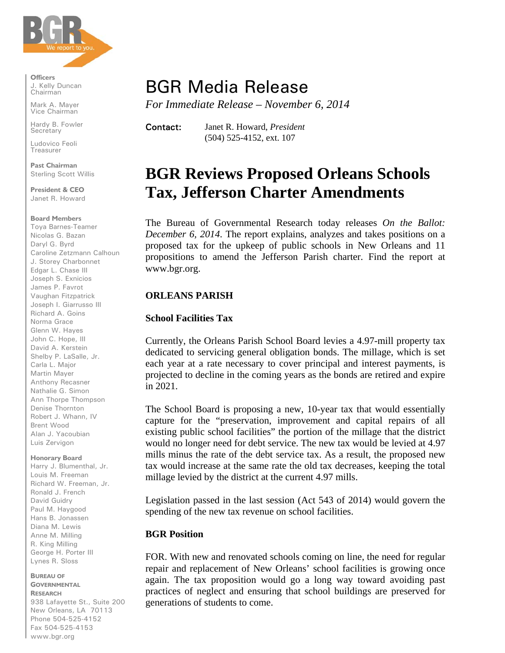

**Officers**  J. Kelly Duncan Chairman

Mark A. Mayer Vice Chairman

Hardy B. Fowler **Secretary** 

Ludovico Feoli Treasurer

**Past Chairman**  Sterling Scott Willis

**President & CEO** Janet R. Howard

#### **Board Members**

Toya Barnes-Teamer Nicolas G. Bazan Daryl G. Byrd Caroline Zetzmann Calhoun J. Storey Charbonnet Edgar L. Chase III Joseph S. Exnicios James P. Favrot Vaughan Fitzpatrick Joseph I. Giarrusso III Richard A. Goins Norma Grace Glenn W. Hayes John C. Hope, III David A. Kerstein Shelby P. LaSalle, Jr. Carla L. Major Martin Mayer Anthony Recasner Nathalie G. Simon Ann Thorpe Thompson Denise Thornton Robert J. Whann, IV Brent Wood Alan J. Yacoubian Luis Zervigon

**Honorary Board**  Harry J. Blumenthal, Jr.

Louis M. Freeman Richard W. Freeman, Jr. Ronald J. French David Guidry Paul M. Haygood Hans B. Jonassen Diana M. Lewis Anne M. Milling R. King Milling George H. Porter III Lynes R. Sloss

**BUREAU OF GOVERNMENTAL**

**RESEARCH** 938 Lafayette St., Suite 200 New Orleans, LA 70113 Phone 504-525-4152 Fax 504-525-4153 www.bgr.org

# BGR Media Release

*For Immediate Release – November 6, 2014*

Contact: Janet R. Howard, *President* (504) 525-4152, ext. 107

# **BGR Reviews Proposed Orleans Schools Tax, Jefferson Charter Amendments**

The Bureau of Governmental Research today releases *On the Ballot: December 6, 2014*. The report explains, analyzes and takes positions on a proposed tax for the upkeep of public schools in New Orleans and 11 propositions to amend the Jefferson Parish charter. Find the report at www.bgr.org.

# **ORLEANS PARISH**

### **School Facilities Tax**

Currently, the Orleans Parish School Board levies a 4.97-mill property tax dedicated to servicing general obligation bonds. The millage, which is set each year at a rate necessary to cover principal and interest payments, is projected to decline in the coming years as the bonds are retired and expire in 2021.

The School Board is proposing a new, 10-year tax that would essentially capture for the "preservation, improvement and capital repairs of all existing public school facilities" the portion of the millage that the district would no longer need for debt service. The new tax would be levied at 4.97 mills minus the rate of the debt service tax. As a result, the proposed new tax would increase at the same rate the old tax decreases, keeping the total millage levied by the district at the current 4.97 mills.

Legislation passed in the last session (Act 543 of 2014) would govern the spending of the new tax revenue on school facilities.

### **BGR Position**

FOR. With new and renovated schools coming on line, the need for regular repair and replacement of New Orleans' school facilities is growing once again. The tax proposition would go a long way toward avoiding past practices of neglect and ensuring that school buildings are preserved for generations of students to come.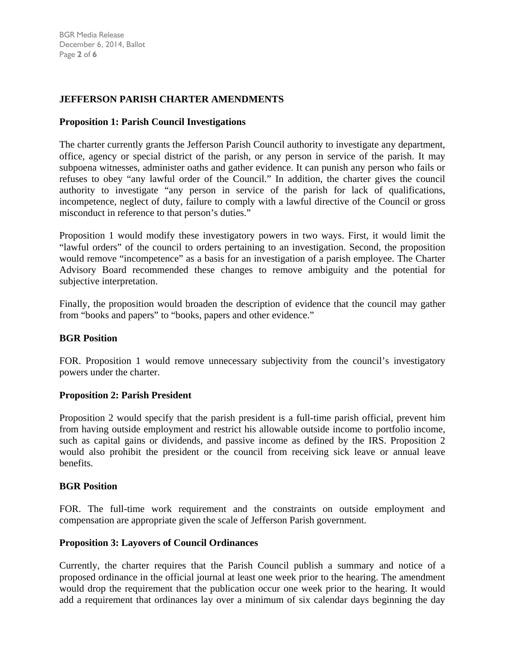# **JEFFERSON PARISH CHARTER AMENDMENTS**

### **Proposition 1: Parish Council Investigations**

The charter currently grants the Jefferson Parish Council authority to investigate any department, office, agency or special district of the parish, or any person in service of the parish. It may subpoena witnesses, administer oaths and gather evidence. It can punish any person who fails or refuses to obey "any lawful order of the Council." In addition, the charter gives the council authority to investigate "any person in service of the parish for lack of qualifications, incompetence, neglect of duty, failure to comply with a lawful directive of the Council or gross misconduct in reference to that person's duties."

Proposition 1 would modify these investigatory powers in two ways. First, it would limit the "lawful orders" of the council to orders pertaining to an investigation. Second, the proposition would remove "incompetence" as a basis for an investigation of a parish employee. The Charter Advisory Board recommended these changes to remove ambiguity and the potential for subjective interpretation.

Finally, the proposition would broaden the description of evidence that the council may gather from "books and papers" to "books, papers and other evidence."

### **BGR Position**

FOR. Proposition 1 would remove unnecessary subjectivity from the council's investigatory powers under the charter.

### **Proposition 2: Parish President**

Proposition 2 would specify that the parish president is a full-time parish official, prevent him from having outside employment and restrict his allowable outside income to portfolio income, such as capital gains or dividends, and passive income as defined by the IRS. Proposition 2 would also prohibit the president or the council from receiving sick leave or annual leave benefits.

### **BGR Position**

FOR. The full-time work requirement and the constraints on outside employment and compensation are appropriate given the scale of Jefferson Parish government.

#### **Proposition 3: Layovers of Council Ordinances**

Currently, the charter requires that the Parish Council publish a summary and notice of a proposed ordinance in the official journal at least one week prior to the hearing. The amendment would drop the requirement that the publication occur one week prior to the hearing. It would add a requirement that ordinances lay over a minimum of six calendar days beginning the day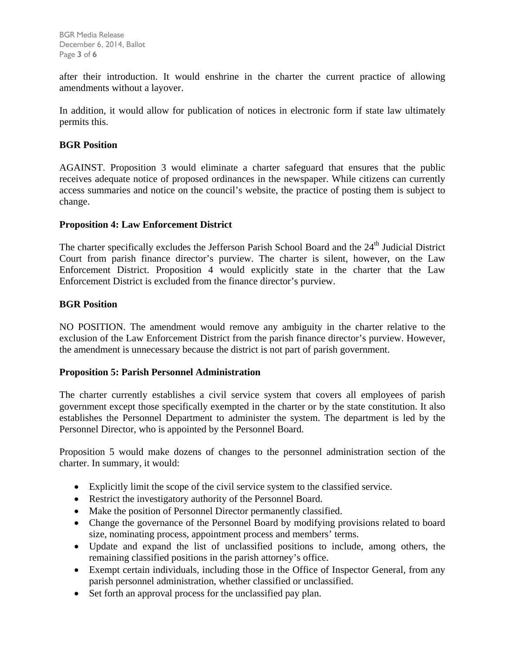after their introduction. It would enshrine in the charter the current practice of allowing amendments without a layover.

In addition, it would allow for publication of notices in electronic form if state law ultimately permits this.

# **BGR Position**

AGAINST. Proposition 3 would eliminate a charter safeguard that ensures that the public receives adequate notice of proposed ordinances in the newspaper. While citizens can currently access summaries and notice on the council's website, the practice of posting them is subject to change.

# **Proposition 4: Law Enforcement District**

The charter specifically excludes the Jefferson Parish School Board and the 24<sup>th</sup> Judicial District Court from parish finance director's purview. The charter is silent, however, on the Law Enforcement District. Proposition 4 would explicitly state in the charter that the Law Enforcement District is excluded from the finance director's purview.

# **BGR Position**

NO POSITION. The amendment would remove any ambiguity in the charter relative to the exclusion of the Law Enforcement District from the parish finance director's purview. However, the amendment is unnecessary because the district is not part of parish government.

### **Proposition 5: Parish Personnel Administration**

The charter currently establishes a civil service system that covers all employees of parish government except those specifically exempted in the charter or by the state constitution. It also establishes the Personnel Department to administer the system. The department is led by the Personnel Director, who is appointed by the Personnel Board.

Proposition 5 would make dozens of changes to the personnel administration section of the charter. In summary, it would:

- Explicitly limit the scope of the civil service system to the classified service.
- Restrict the investigatory authority of the Personnel Board.
- Make the position of Personnel Director permanently classified.
- Change the governance of the Personnel Board by modifying provisions related to board size, nominating process, appointment process and members' terms.
- Update and expand the list of unclassified positions to include, among others, the remaining classified positions in the parish attorney's office.
- Exempt certain individuals, including those in the Office of Inspector General, from any parish personnel administration, whether classified or unclassified.
- Set forth an approval process for the unclassified pay plan.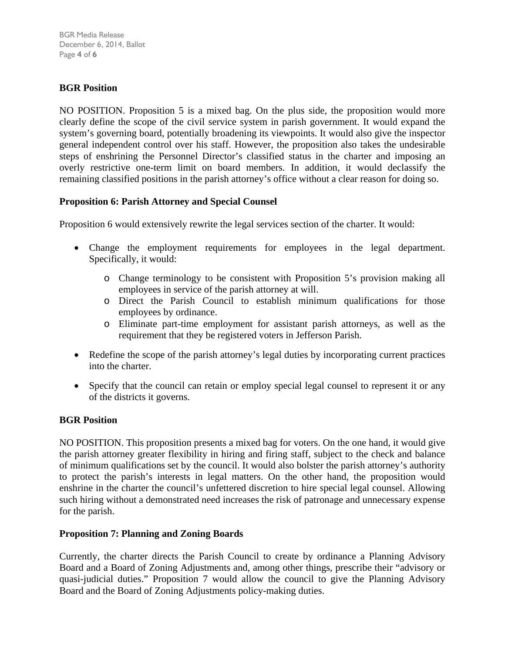BGR Media Release December 6, 2014, Ballot Page **4** of **6**

# **BGR Position**

NO POSITION. Proposition 5 is a mixed bag. On the plus side, the proposition would more clearly define the scope of the civil service system in parish government. It would expand the system's governing board, potentially broadening its viewpoints. It would also give the inspector general independent control over his staff. However, the proposition also takes the undesirable steps of enshrining the Personnel Director's classified status in the charter and imposing an overly restrictive one-term limit on board members. In addition, it would declassify the remaining classified positions in the parish attorney's office without a clear reason for doing so.

# **Proposition 6: Parish Attorney and Special Counsel**

Proposition 6 would extensively rewrite the legal services section of the charter. It would:

- Change the employment requirements for employees in the legal department. Specifically, it would:
	- o Change terminology to be consistent with Proposition 5's provision making all employees in service of the parish attorney at will.
	- o Direct the Parish Council to establish minimum qualifications for those employees by ordinance.
	- o Eliminate part-time employment for assistant parish attorneys, as well as the requirement that they be registered voters in Jefferson Parish.
- Redefine the scope of the parish attorney's legal duties by incorporating current practices into the charter.
- Specify that the council can retain or employ special legal counsel to represent it or any of the districts it governs.

### **BGR Position**

NO POSITION. This proposition presents a mixed bag for voters. On the one hand, it would give the parish attorney greater flexibility in hiring and firing staff, subject to the check and balance of minimum qualifications set by the council. It would also bolster the parish attorney's authority to protect the parish's interests in legal matters. On the other hand, the proposition would enshrine in the charter the council's unfettered discretion to hire special legal counsel. Allowing such hiring without a demonstrated need increases the risk of patronage and unnecessary expense for the parish.

### **Proposition 7: Planning and Zoning Boards**

Currently, the charter directs the Parish Council to create by ordinance a Planning Advisory Board and a Board of Zoning Adjustments and, among other things, prescribe their "advisory or quasi-judicial duties." Proposition 7 would allow the council to give the Planning Advisory Board and the Board of Zoning Adjustments policy-making duties.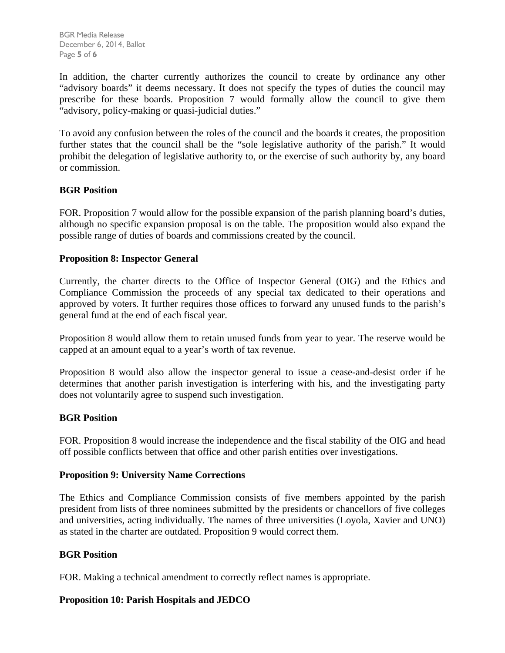BGR Media Release December 6, 2014, Ballot Page **5** of **6**

In addition, the charter currently authorizes the council to create by ordinance any other "advisory boards" it deems necessary. It does not specify the types of duties the council may prescribe for these boards. Proposition 7 would formally allow the council to give them "advisory, policy-making or quasi-judicial duties."

To avoid any confusion between the roles of the council and the boards it creates, the proposition further states that the council shall be the "sole legislative authority of the parish." It would prohibit the delegation of legislative authority to, or the exercise of such authority by, any board or commission.

# **BGR Position**

FOR. Proposition 7 would allow for the possible expansion of the parish planning board's duties, although no specific expansion proposal is on the table. The proposition would also expand the possible range of duties of boards and commissions created by the council.

# **Proposition 8: Inspector General**

Currently, the charter directs to the Office of Inspector General (OIG) and the Ethics and Compliance Commission the proceeds of any special tax dedicated to their operations and approved by voters. It further requires those offices to forward any unused funds to the parish's general fund at the end of each fiscal year.

Proposition 8 would allow them to retain unused funds from year to year. The reserve would be capped at an amount equal to a year's worth of tax revenue.

Proposition 8 would also allow the inspector general to issue a cease-and-desist order if he determines that another parish investigation is interfering with his, and the investigating party does not voluntarily agree to suspend such investigation.

### **BGR Position**

FOR. Proposition 8 would increase the independence and the fiscal stability of the OIG and head off possible conflicts between that office and other parish entities over investigations.

### **Proposition 9: University Name Corrections**

The Ethics and Compliance Commission consists of five members appointed by the parish president from lists of three nominees submitted by the presidents or chancellors of five colleges and universities, acting individually. The names of three universities (Loyola, Xavier and UNO) as stated in the charter are outdated. Proposition 9 would correct them.

### **BGR Position**

FOR. Making a technical amendment to correctly reflect names is appropriate.

### **Proposition 10: Parish Hospitals and JEDCO**